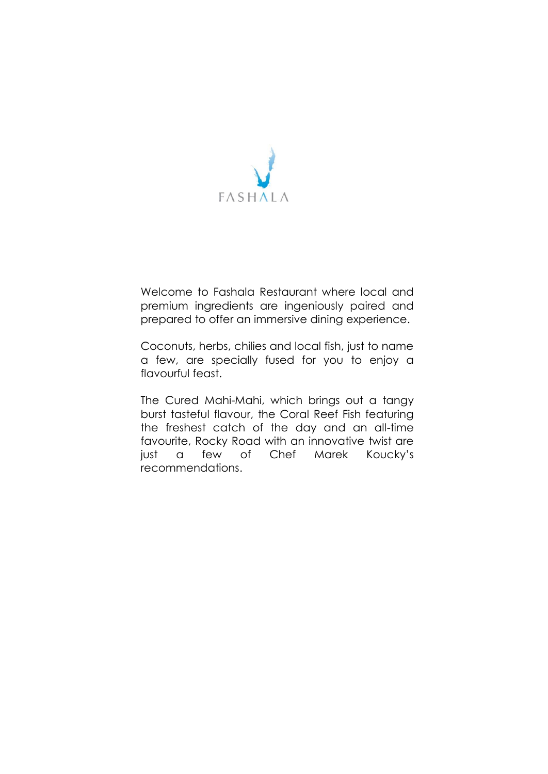

Welcome to Fashala Restaurant where local and premium ingredients are ingeniously paired and prepared to offer an immersive dining experience.

Coconuts, herbs, chilies and local fish, just to name a few, are specially fused for you to enjoy a flavourful feast.

The Cured Mahi-Mahi, which brings out a tangy burst tasteful flavour, the Coral Reef Fish featuring the freshest catch of the day and an all-time favourite, Rocky Road with an innovative twist are just a few of Chef Marek Koucky's recommendations.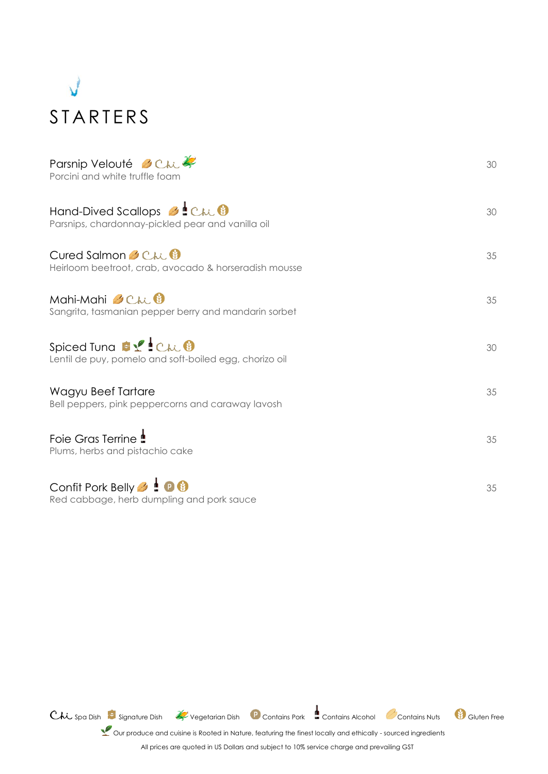

| Parsnip Velouté & Chi<br>Porcini and white truffle foam                                            | 30 |
|----------------------------------------------------------------------------------------------------|----|
| Hand-Dived Scallops <b>3</b> Chi <sup>0</sup><br>Parsnips, chardonnay-pickled pear and vanilla oil | 30 |
| Cured Salmon Chi<br>Heirloom beetroot, crab, avocado & horseradish mousse                          | 35 |
| Mahi-Mahi Chi<br>Sangrita, tasmanian pepper berry and mandarin sorbet                              | 35 |
| Spiced Tung \$ 1 Chi 8<br>Lentil de puy, pomelo and soft-boiled egg, chorizo oil                   | 30 |
| Wagyu Beef Tartare<br>Bell peppers, pink peppercorns and caraway lavosh                            | 35 |
| Foie Gras Terrine <b>!</b><br>Plums, herbs and pistachio cake                                      | 35 |
| Confit Pork Belly <b>&amp; ! 0 0</b><br>Red cabbage, herb dumpling and pork sauce                  | 35 |

Chi Spa Dish Signature Dish 4 Vegetarian Dish Contains Pork Contains Alcohol Contains Nuts 19 Gluten Free

Our produce and cuisine is Rooted in Nature, featuring the finest locally and ethically - sourced ingredients

All prices are quoted in US Dollars and subject to 10% service charge and prevailing GST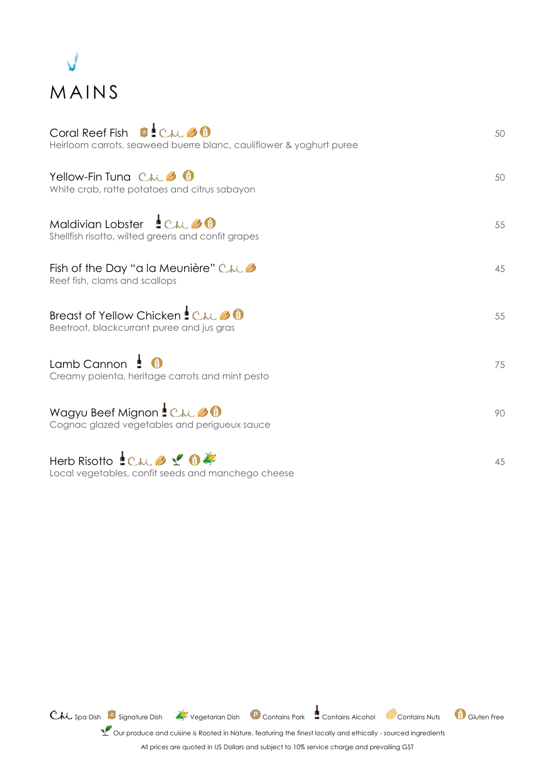

| Coral Reef Fish $\blacksquare$ Chi & $\blacksquare$<br>Heirloom carrots, seaweed buerre blanc, cauliflower & yoghurt puree              | 50 |
|-----------------------------------------------------------------------------------------------------------------------------------------|----|
| Yellow-Fin Tuna Chi 3 0<br>White crab, ratte potatoes and citrus sabayon                                                                | 50 |
| Maldivian Lobster Chi 30<br>Shellfish risotto, wilted greens and confit grapes                                                          | 55 |
| Fish of the Day "a la Meunière" $C \wedge C$<br>Reef fish, clams and scallops                                                           | 45 |
| Breast of Yellow Chicken LC <sub>hi</sub> 30<br>Beetroot, blackcurrant puree and jus gras                                               | 55 |
| Lamb Cannon $\mathbf{\mathop{!}\bullet\mathop{}}\mathbf{\mathop{!}\bullet\mathop{}}$<br>Creamy polenta, heritage carrots and mint pesto | 75 |
| Wagyu Beef Mignon : Chi 30<br>Cognac glazed vegetables and perigueux sauce                                                              | 90 |
| Herb Risotto Chi 3 1 0 2<br>Local vegetables, confit seeds and manchego cheese                                                          | 45 |

Chi Spa Dish Signature Dish & Vegetarian Dish P Contains Pork Contains Alcohol Contains Nuts S Gluten Free

Let Our produce and cuisine is Rooted in Nature, featuring the finest locally and ethically - sourced ingredients

All prices are quoted in US Dollars and subject to 10% service charge and prevailing GST